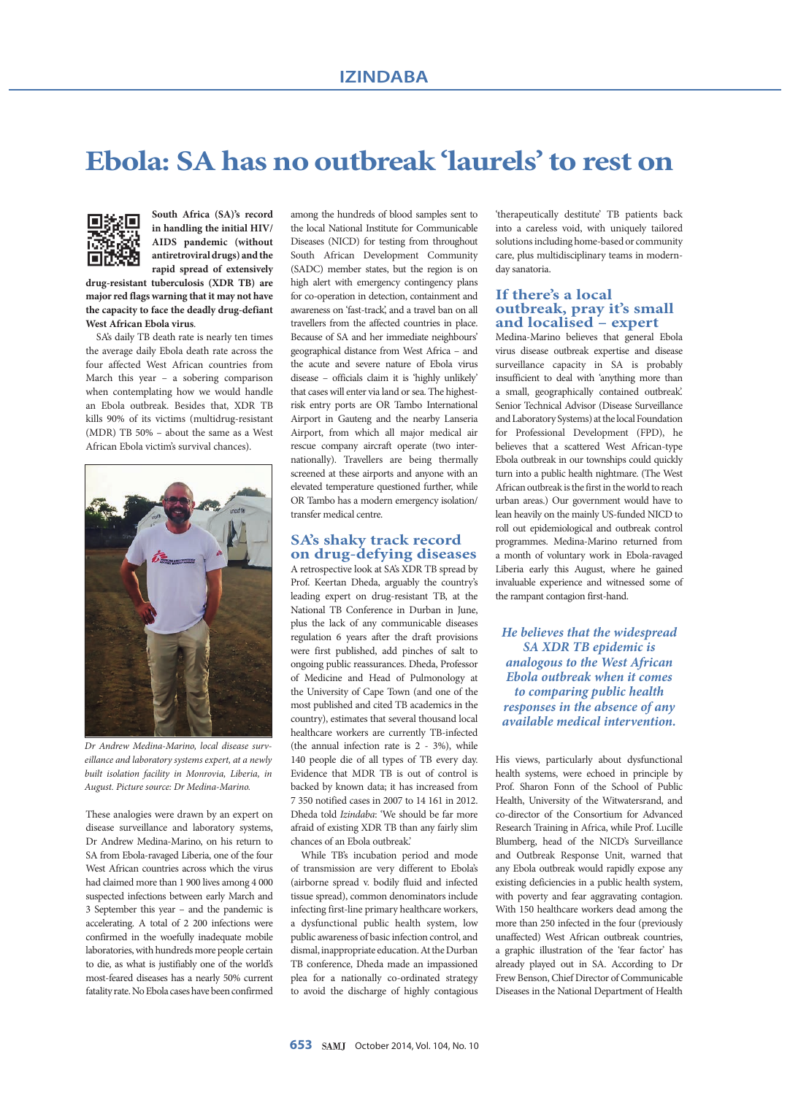# **Ebola: SA has no outbreak 'laurels' to rest on**



**South Africa (SA)'s record in handling the initial HIV/ AIDS pandemic (without anti retroviral drugs) and the rapid spread of extensively** 

**drug-resistant tuberculosis (XDR TB) are major red flags warning that it may not have the capacity to face the deadly drug-defiant West African Ebola virus**.

SA's daily TB death rate is nearly ten times the average daily Ebola death rate across the four affected West African countries from March this year  $-$  a sobering comparison when contemplating how we would handle an Ebola outbreak. Besides that, XDR TB kills 90% of its victims (multidrug-resistant (MDR) TB 50% – about the same as a West African Ebola victim's survival chances).



*Dr Andrew Medina-Marino, local disease surveillance and laboratory systems expert, at a newly built isolation facility in Monrovia, Liberia, in August. Picture source: Dr Medina-Marino.*

These analogies were drawn by an expert on disease surveillance and laboratory systems, Dr Andrew Medina-Marino, on his return to SA from Ebola-ravaged Liberia, one of the four West African countries across which the virus had claimed more than 1 900 lives among 4 000 suspected infections between early March and 3 September this year – and the pandemic is accelerating. A total of 2 200 infections were confirmed in the woefully inadequate mobile laboratories, with hundreds more people certain to die, as what is justifiably one of the world's most-feared diseases has a nearly 50% current fatality rate. No Ebola cases have been confirmed among the hundreds of blood samples sent to the local National Institute for Communicable Diseases (NICD) for testing from throughout South African Development Community (SADC) member states, but the region is on high alert with emergency contingency plans for co-operation in detection, containment and awareness on 'fast-track', and a travel ban on all travellers from the affected countries in place. Because of SA and her immediate neighbours' geographical distance from West Africa – and the acute and severe nature of Ebola virus disease – officials claim it is 'highly unlikely' that cases will enter via land or sea. The highestrisk entry ports are OR Tambo International Airport in Gauteng and the nearby Lanseria Airport, from which all major medical air rescue company aircraft operate (two internationally). Travellers are being thermally screened at these airports and anyone with an elevated temperature questioned further, while OR Tambo has a modern emergency isolation/ transfer medical centre.

# **SA's shaky track record on drug-defying diseases**

A retrospective look at SA's XDR TB spread by Prof. Keertan Dheda, arguably the country's leading expert on drug-resistant TB, at the National TB Conference in Durban in June, plus the lack of any communicable diseases regulation 6 years after the draft provisions were first published, add pinches of salt to ongoing public reassurances. Dheda, Professor of Medicine and Head of Pulmonology at the University of Cape Town (and one of the most published and cited TB academics in the country), estimates that several thousand local healthcare workers are currently TB-infected (the annual infection rate is 2 - 3%), while 140 people die of all types of TB every day. Evidence that MDR TB is out of control is backed by known data; it has increased from 7 350 notified cases in 2007 to 14 161 in 2012. Dheda told *Izindaba*: 'We should be far more afraid of existing XDR TB than any fairly slim chances of an Ebola outbreak.'

While TB's incubation period and mode of transmission are very different to Ebola's (airborne spread v. bodily fluid and infected tissue spread), common denominators include infecting first-line primary healthcare workers, a dysfunctional public health system, low public awareness of basic infection control, and dismal, inappropriate education. At the Durban TB conference, Dheda made an impassioned plea for a nationally co-ordinated strategy to avoid the discharge of highly contagious 'therapeutically destitute' TB patients back into a careless void, with uniquely tailored solutions including home-based or community care, plus multidisciplinary teams in modernday sanatoria.

#### **If there's a local outbreak, pray it's small and localised – expert**

Medina-Marino believes that general Ebola virus disease outbreak expertise and disease surveillance capacity in SA is probably insufficient to deal with 'anything more than a small, geographically contained outbreak'. Senior Technical Advisor (Disease Surveillance and Laboratory Systems) at the local Foundation for Professional Development (FPD), he believes that a scattered West African-type Ebola outbreak in our townships could quickly turn into a public health nightmare. (The West African outbreak is the first in the world to reach urban areas.) Our government would have to lean heavily on the mainly US-funded NICD to roll out epidemiological and outbreak control programmes. Medina-Marino returned from a month of voluntary work in Ebola-ravaged Liberia early this August, where he gained invaluable experience and witnessed some of the rampant contagion first-hand.

*He believes that the widespread SA XDR TB epidemic is analogous to the West African Ebola outbreak when it comes to comparing public health responses in the absence of any available medical intervention.*

His views, particularly about dysfunctional health systems, were echoed in principle by Prof. Sharon Fonn of the School of Public Health, University of the Witwatersrand, and co-director of the Consortium for Advanced Research Training in Africa, while Prof. Lucille Blumberg, head of the NICD's Surveillance and Outbreak Response Unit, warned that any Ebola outbreak would rapidly expose any existing deficiencies in a public health system, with poverty and fear aggravating contagion. With 150 healthcare workers dead among the more than 250 infected in the four (previously unaffected) West African outbreak countries, a graphic illustration of the 'fear factor' has already played out in SA. According to Dr Frew Benson, Chief Director of Communicable Diseases in the National Department of Health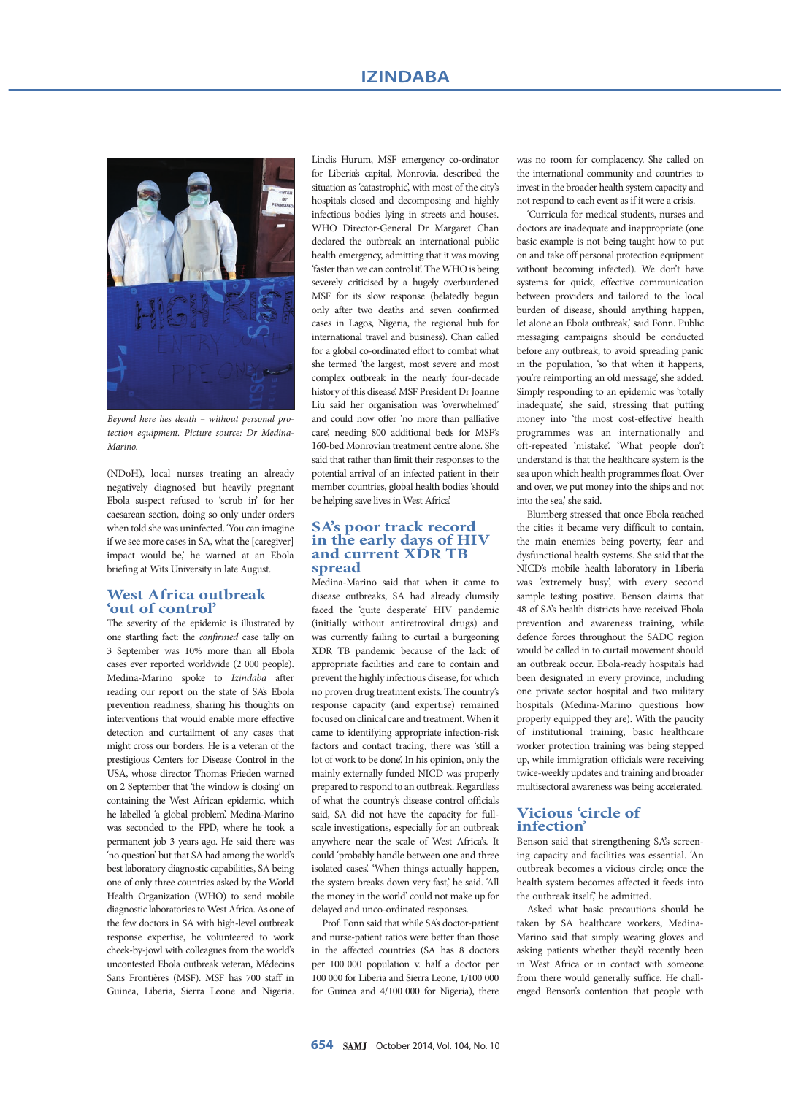

*Beyond here lies death – without personal protection equipment. Picture source: Dr Medina-Marino.*

(NDoH), local nurses treating an already negatively diagnosed but heavily pregnant Ebola suspect refused to 'scrub in' for her caesarean section, doing so only under orders when told she was uninfected. 'You can imagine if we see more cases in SA, what the [caregiver] impact would be,' he warned at an Ebola briefing at Wits University in late August.

## **West Africa outbreak 'out of control'**

The severity of the epidemic is illustrated by one startling fact: the *confirmed* case tally on 3 September was 10% more than all Ebola cases ever reported worldwide (2 000 people). Medina-Marino spoke to *Izindaba* after reading our report on the state of SA's Ebola prevention readiness, sharing his thoughts on interventions that would enable more effective detection and curtailment of any cases that might cross our borders. He is a veteran of the prestigious Centers for Disease Control in the USA, whose director Thomas Frieden warned on 2 September that 'the window is closing' on containing the West African epidemic, which he labelled 'a global problem'. Medina-Marino was seconded to the FPD, where he took a permanent job 3 years ago. He said there was 'no question' but that SA had among the world's best laboratory diagnostic capabilities, SA being one of only three countries asked by the World Health Organization (WHO) to send mobile diagnostic laboratories to West Africa. As one of the few doctors in SA with high-level outbreak response expertise, he volunteered to work cheek-by-jowl with colleagues from the world's uncontested Ebola outbreak veteran, Médecins Sans Frontières (MSF). MSF has 700 staff in Guinea, Liberia, Sierra Leone and Nigeria.

Lindis Hurum, MSF emergency co-ordinator for Liberia's capital, Monrovia, described the situation as 'catastrophic', with most of the city's hospitals closed and decomposing and highly infectious bodies lying in streets and houses. WHO Director-General Dr Margaret Chan declared the outbreak an international public health emergency, admitting that it was moving 'faster than we can control it'. The WHO is being severely criticised by a hugely overburdened MSF for its slow response (belatedly begun only after two deaths and seven confirmed cases in Lagos, Nigeria, the regional hub for international travel and business). Chan called for a global co-ordinated effort to combat what she termed 'the largest, most severe and most complex outbreak in the nearly four-decade history of this disease'. MSF President Dr Joanne Liu said her organisation was 'overwhelmed' and could now offer 'no more than palliative care', needing 800 additional beds for MSF's 160-bed Monrovian treatment centre alone. She said that rather than limit their responses to the potential arrival of an infected patient in their member countries, global health bodies 'should be helping save lives in West Africa'.

#### **SA's poor track record in the early days of HIV and current XDR TB spread**

Medina-Marino said that when it came to disease outbreaks, SA had already clumsily faced the 'quite desperate' HIV pandemic (initially without antiretroviral drugs) and was currently failing to curtail a burgeoning XDR TB pandemic because of the lack of appropriate facilities and care to contain and prevent the highly infectious disease, for which no proven drug treatment exists. The country's response capacity (and expertise) remained focused on clinical care and treatment. When it came to identifying appropriate infection-risk factors and contact tracing, there was 'still a lot of work to be done'. In his opinion, only the mainly externally funded NICD was properly prepared to respond to an outbreak. Regardless of what the country's disease control officials said, SA did not have the capacity for fullscale investigations, especially for an outbreak anywhere near the scale of West Africa's. It could 'probably handle between one and three isolated cases'. 'When things actually happen, the system breaks down very fast,' he said. 'All the money in the world' could not make up for delayed and unco-ordinated responses.

Prof. Fonn said that while SA's doctor-patient and nurse-patient ratios were better than those in the affected countries (SA has 8 doctors per 100 000 population v. half a doctor per 100 000 for Liberia and Sierra Leone, 1/100 000 for Guinea and 4/100 000 for Nigeria), there

was no room for complacency. She called on the international community and countries to invest in the broader health system capacity and not respond to each event as if it were a crisis.

'Curricula for medical students, nurses and doctors are inadequate and inappropriate (one basic example is not being taught how to put on and take off personal protection equipment without becoming infected). We don't have systems for quick, effective communication between providers and tailored to the local burden of disease, should anything happen, let alone an Ebola outbreak,' said Fonn. Public messaging campaigns should be conducted before any outbreak, to avoid spreading panic in the population, 'so that when it happens, you're reimporting an old message', she added. Simply responding to an epidemic was 'totally inadequate', she said, stressing that putting money into 'the most cost-effective' health programmes was an internationally and oft-repeated 'mistake'. 'What people don't understand is that the healthcare system is the sea upon which health programmes float. Over and over, we put money into the ships and not into the sea,' she said.

Blumberg stressed that once Ebola reached the cities it became very difficult to contain, the main enemies being poverty, fear and dysfunctional health systems. She said that the NICD's mobile health laboratory in Liberia was 'extremely busy', with every second sample testing positive. Benson claims that 48 of SA's health districts have received Ebola prevention and awareness training, while defence forces throughout the SADC region would be called in to curtail movement should an outbreak occur. Ebola-ready hospitals had been designated in every province, including one private sector hospital and two military hospitals (Medina-Marino questions how properly equipped they are). With the paucity of institutional training, basic healthcare worker protection training was being stepped up, while immigration officials were receiving twice-weekly updates and training and broader multisectoral awareness was being accelerated.

# **Vicious 'circle of infection'**

Benson said that strengthening SA's screening capacity and facilities was essential. 'An outbreak becomes a vicious circle; once the health system becomes affected it feeds into the outbreak itself<sup>'</sup> he admitted.

Asked what basic precautions should be taken by SA healthcare workers, Medina-Marino said that simply wearing gloves and asking patients whether they'd recently been in West Africa or in contact with someone from there would generally suffice. He challenged Benson's contention that people with